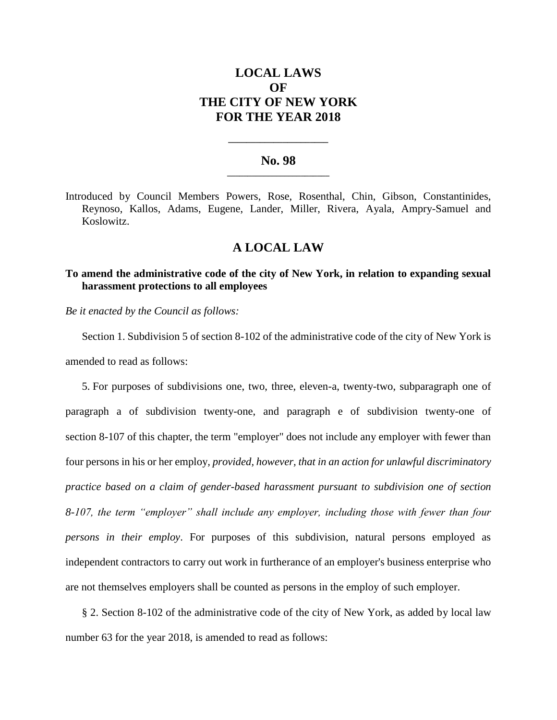# **LOCAL LAWS OF THE CITY OF NEW YORK FOR THE YEAR 2018**

### **No. 98 \_\_\_\_\_\_\_\_\_\_\_\_\_\_\_\_\_\_\_\_\_\_\_\_\_**

**\_\_\_\_\_\_\_\_\_\_\_\_\_\_\_\_\_\_\_\_\_\_**

Introduced by Council Members Powers, Rose, Rosenthal, Chin, Gibson, Constantinides, Reynoso, Kallos, Adams, Eugene, Lander, Miller, Rivera, Ayala, Ampry-Samuel and Koslowitz.

## **A LOCAL LAW**

### **To amend the administrative code of the city of New York, in relation to expanding sexual harassment protections to all employees**

*Be it enacted by the Council as follows:*

Section 1. Subdivision 5 of section 8-102 of the administrative code of the city of New York is amended to read as follows:

5. For purposes of subdivisions one, two, three, eleven-a, twenty-two, subparagraph one of paragraph a of subdivision twenty-one, and paragraph e of subdivision twenty-one of section 8-107 of this chapter, the term "employer" does not include any employer with fewer than four persons in his or her employ*, provided, however, that in an action for unlawful discriminatory practice based on a claim of gender-based harassment pursuant to subdivision one of section 8-107, the term "employer" shall include any employer, including those with fewer than four persons in their employ*. For purposes of this subdivision, natural persons employed as independent contractors to carry out work in furtherance of an employer's business enterprise who are not themselves employers shall be counted as persons in the employ of such employer.

§ 2. Section 8-102 of the administrative code of the city of New York, as added by local law number 63 for the year 2018, is amended to read as follows: